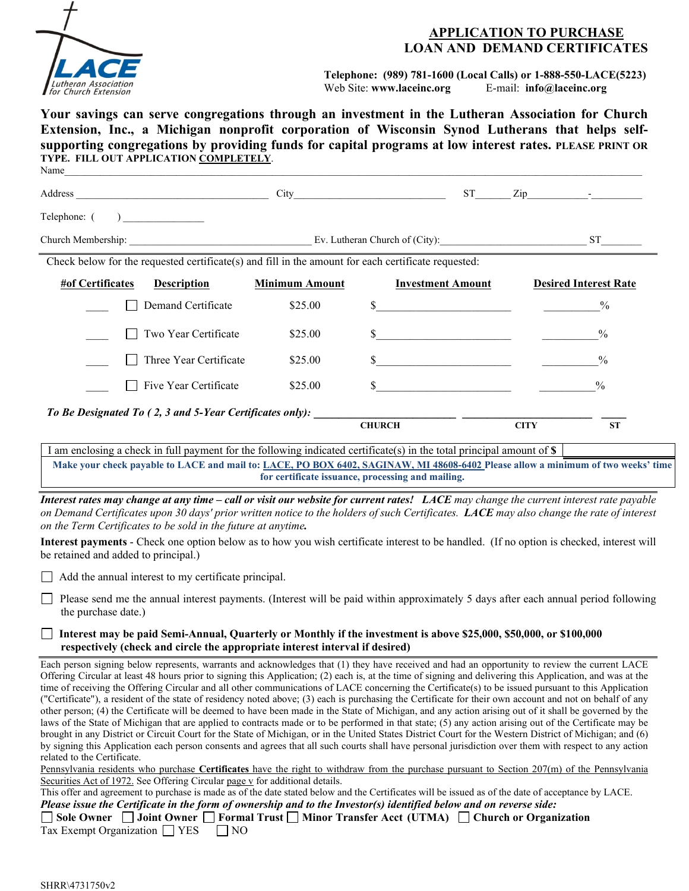

# **APPLICATION TO PURCHASE LOAN AND DEMAND CERTIFICATES**

**Telephone: (989) 781-1600 (Local Calls) or 1-888-550-LACE(5223)** Web Site: **www.laceinc.org** E-mail: **info@laceinc.org**

**Your savings can serve congregations through an investment in the Lutheran Association for Church Extension, Inc., a Michigan nonprofit corporation of Wisconsin Synod Lutherans that helps selfsupporting congregations by providing funds for capital programs at low interest rates. PLEASE PRINT OR TYPE. FILL OUT APPLICATION COMPLETELY**. Name  $\Box$ 

|                                                   |                                                                                                        |                       |               | ST <sub>2</sub>                         |             | $\mathsf{Zip}$ $\qquad \qquad$ |
|---------------------------------------------------|--------------------------------------------------------------------------------------------------------|-----------------------|---------------|-----------------------------------------|-------------|--------------------------------|
| Telephone: (                                      | $\overline{\phantom{a}}$                                                                               |                       |               |                                         |             |                                |
| Church Membership: Ev. Lutheran Church of (City): |                                                                                                        |                       |               |                                         |             | ST <sub>1</sub>                |
|                                                   | Check below for the requested certificate $(s)$ and fill in the amount for each certificate requested: |                       |               |                                         |             |                                |
| #of Certificates                                  | <b>Description</b>                                                                                     | <b>Minimum Amount</b> |               | <b>Investment Amount</b>                |             | <b>Desired Interest Rate</b>   |
|                                                   | Demand Certificate                                                                                     | \$25.00               | \$            |                                         |             | $\frac{0}{0}$                  |
|                                                   | Two Year Certificate                                                                                   | \$25.00               | \$            |                                         |             | $\frac{0}{0}$                  |
|                                                   | Three Year Certificate                                                                                 | \$25.00               | \$            | <u> 1990 - Johann Barbara, martin a</u> |             | $\frac{0}{0}$                  |
|                                                   | Five Year Certificate                                                                                  | \$25.00               | \$            |                                         |             | $\frac{0}{0}$                  |
|                                                   | To Be Designated To (2, 3 and 5-Year Certificates only):                                               |                       |               |                                         |             |                                |
|                                                   |                                                                                                        |                       | <b>CHURCH</b> |                                         | <b>CITY</b> | <b>ST</b>                      |

I am enclosing a check in full payment for the following indicated certificate(s) in the total principal amount of **\$ Make your check payable to LACE and mail to: LACE, PO BOX 6402, SAGINAW, MI 48608-6402 Please allow a minimum of two weeks' time for certificate issuance, processing and mailing.**

*Interest rates may change at any time – call or visit our website for current rates! LACE may change the current interest rate payable on Demand Certificates upon 30 days' prior written notice to the holders of such Certificates. LACE may also change the rate of interest on the Term Certificates to be sold in the future at anytime.* 

**Interest payments** - Check one option below as to how you wish certificate interest to be handled. (If no option is checked, interest will be retained and added to principal.)

 $\Box$  Add the annual interest to my certificate principal.

 Please send me the annual interest payments. (Interest will be paid within approximately 5 days after each annual period following the purchase date.)

#### **Interest may be paid Semi-Annual, Quarterly or Monthly if the investment is above \$25,000, \$50,000, or \$100,000 respectively (check and circle the appropriate interest interval if desired)**

Each person signing below represents, warrants and acknowledges that (1) they have received and had an opportunity to review the current LACE Offering Circular at least 48 hours prior to signing this Application; (2) each is, at the time of signing and delivering this Application, and was at the time of receiving the Offering Circular and all other communications of LACE concerning the Certificate(s) to be issued pursuant to this Application ("Certificate"), a resident of the state of residency noted above; (3) each is purchasing the Certificate for their own account and not on behalf of any other person; (4) the Certificate will be deemed to have been made in the State of Michigan, and any action arising out of it shall be governed by the laws of the State of Michigan that are applied to contracts made or to be performed in that state; (5) any action arising out of the Certificate may be brought in any District or Circuit Court for the State of Michigan, or in the United States District Court for the Western District of Michigan; and (6) by signing this Application each person consents and agrees that all such courts shall have personal jurisdiction over them with respect to any action related to the Certificate.

Pennsylvania residents who purchase **Certificates** have the right to withdraw from the purchase pursuant to Section 207(m) of the Pennsylvania Securities Act of 1972. See Offering Circular page v for additional details.

This offer and agreement to purchase is made as of the date stated below and the Certificates will be issued as of the date of acceptance by LACE. *Please issue the Certificate in the form of ownership and to the Investor(s) identified below and on reverse side:*

**Sole Owner Joint Owner Formal Trust Minor Transfer Acct (UTMA) Church or Organization** Tax Exempt Organization  $\Box$  YES  $\Box$  NO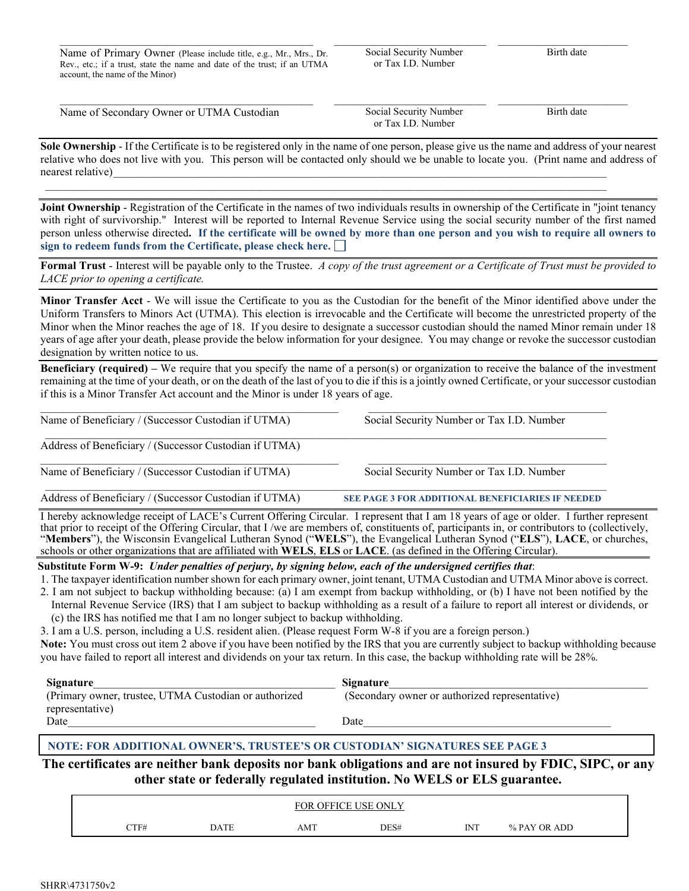Name of Primary Owner (Please include title, e.g., Mr., Mrs., Dr. Rev., etc.; if a trust, state the name and date of the trust; if an UTMA account, the name of the Minor)

 $\_$  ,  $\_$  ,  $\_$  ,  $\_$  ,  $\_$  ,  $\_$  ,  $\_$  ,  $\_$  ,  $\_$  ,  $\_$  ,  $\_$  ,  $\_$  ,  $\_$  ,  $\_$  ,  $\_$ 

\_\_\_\_\_\_\_\_\_\_\_\_\_\_\_\_\_\_\_\_\_\_\_\_\_\_\_ Social Security Number or Tax I.D. Number

 $\overline{\phantom{a}}$  , and the set of the set of the set of the set of the set of the set of the set of the set of the set of the set of the set of the set of the set of the set of the set of the set of the set of the set of the s Birth date

| Name of Secondary Owner or UTMA Custodian | Social Security Number<br>or Tax I.D. Number | Birth date |
|-------------------------------------------|----------------------------------------------|------------|

**Sole Ownership** - If the Certificate is to be registered only in the name of one person, please give us the name and address of your nearest relative who does not live with you. This person will be contacted only should we be unable to locate you. (Print name and address of nearest relative)

 $\bot$  , and the state of the state of the state of the state of the state of the state of the state of the state of the state of the state of the state of the state of the state of the state of the state of the state of th

**Joint Ownership** - Registration of the Certificate in the names of two individuals results in ownership of the Certificate in "joint tenancy with right of survivorship." Interest will be reported to Internal Revenue Service using the social security number of the first named person unless otherwise directed**. If the certificate will be owned by more than one person and you wish to require all owners to sign to redeem funds from the Certificate, please check here.** 

**Formal Trust** - Interest will be payable only to the Trustee. *A copy of the trust agreement or a Certificate of Trust must be provided to LACE prior to opening a certificate.*

**Minor Transfer Acct** - We will issue the Certificate to you as the Custodian for the benefit of the Minor identified above under the Uniform Transfers to Minors Act (UTMA). This election is irrevocable and the Certificate will become the unrestricted property of the Minor when the Minor reaches the age of 18. If you desire to designate a successor custodian should the named Minor remain under 18 years of age after your death, please provide the below information for your designee. You may change or revoke the successor custodian designation by written notice to us.

**Beneficiary (required) –** We require that you specify the name of a person(s) or organization to receive the balance of the investment remaining at the time of your death, or on the death of the last of you to die if this is a jointly owned Certificate, or your successor custodian if this is a Minor Transfer Act account and the Minor is under 18 years of age.

| Name of Beneficiary / (Successor Custodian if UTMA)    | Social Security Number or Tax I.D. Number         |  |  |  |
|--------------------------------------------------------|---------------------------------------------------|--|--|--|
| Address of Beneficiary / (Successor Custodian if UTMA) |                                                   |  |  |  |
| Name of Beneficiary / (Successor Custodian if UTMA)    | Social Security Number or Tax I.D. Number         |  |  |  |
| Address of Beneficiary / (Successor Custodian if UTMA) | SEE PAGE 3 FOR ADDITIONAL BENEFICIARIES IF NEEDED |  |  |  |

 $\_$  , and the state of the state of the state of the state of the state of the state of the state of the state of the state of the state of the state of the state of the state of the state of the state of the state of the

I hereby acknowledge receipt of LACE's Current Offering Circular. I represent that I am 18 years of age or older. I further represent that prior to receipt of the Offering Circular, that I /we are members of, constituents of, participants in, or contributors to (collectively, "**Members**"), the Wisconsin Evangelical Lutheran Synod ("**WELS**"), the Evangelical Lutheran Synod ("**ELS**"), **LACE**, or churches, schools or other organizations that are affiliated with **WELS**, **ELS** or **LACE**. (as defined in the Offering Circular).

### **Substitute Form W-9:** *Under penalties of perjury, by signing below, each of the undersigned certifies that*:

1. The taxpayer identification number shown for each primary owner, joint tenant, UTMA Custodian and UTMA Minor above is correct.

2. I am not subject to backup withholding because: (a) I am exempt from backup withholding, or (b) I have not been notified by the Internal Revenue Service (IRS) that I am subject to backup withholding as a result of a failure to report all interest or dividends, or

(c) the IRS has notified me that I am no longer subject to backup withholding.

3. I am a U.S. person, including a U.S. resident alien. (Please request Form W-8 if you are a foreign person.)

**Note:** You must cross out item 2 above if you have been notified by the IRS that you are currently subject to backup withholding because you have failed to report all interest and dividends on your tax return. In this case, the backup withholding rate will be 28%.

| Signature                                              | Signature                                      |
|--------------------------------------------------------|------------------------------------------------|
| (Primary owner, trustee, UTMA Custodian or authorized) | (Secondary owner or authorized representative) |
| representative)                                        |                                                |
| Date                                                   | Date                                           |

## **NOTE: FOR ADDITIONAL OWNER'S, TRUSTEE'S OR CUSTODIAN' SIGNATURES SEE PAGE 3**

**The certificates are neither bank deposits nor bank obligations and are not insured by FDIC, SIPC, or any other state or federally regulated institution. No WELS or ELS guarantee.**

|                |                 | <b>OFFICE</b><br>FOR | <b>USE</b><br>ONLY |                    |                           |  |
|----------------|-----------------|----------------------|--------------------|--------------------|---------------------------|--|
| CTF#<br>$   -$ | $\mathbf{DATF}$ | AMT                  | DES#               | <b>INT</b><br>$ -$ | <b>PAY OR ADD</b><br>$\%$ |  |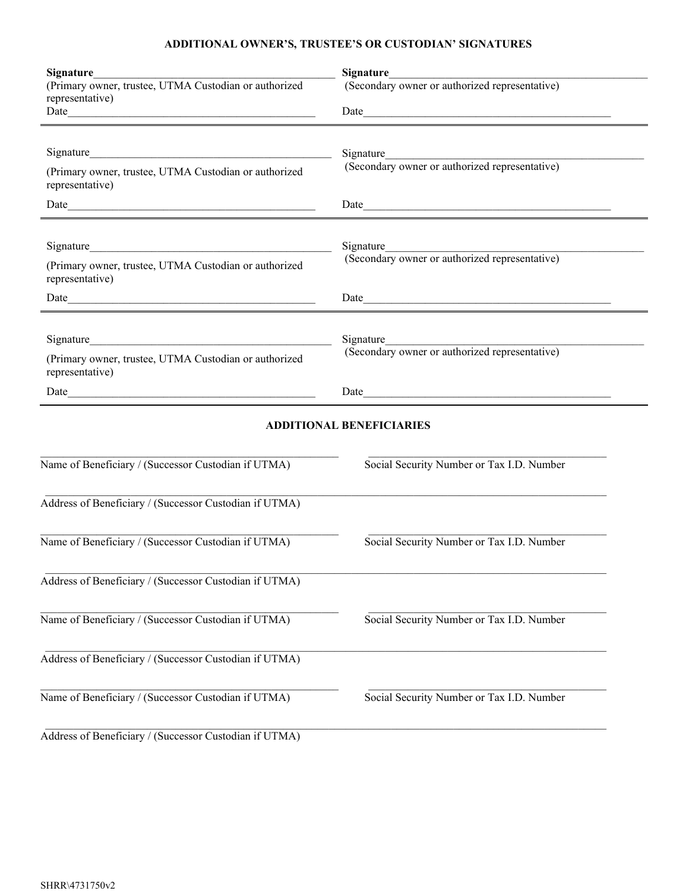# **ADDITIONAL OWNER'S, TRUSTEE'S OR CUSTODIAN' SIGNATURES**

| <b>Signature</b><br>(Primary owner, trustee, UTMA Custodian or authorized<br>representative) | <b>Signature</b><br>(Secondary owner or authorized representative) |  |  |  |
|----------------------------------------------------------------------------------------------|--------------------------------------------------------------------|--|--|--|
| (Primary owner, trustee, UTMA Custodian or authorized<br>representative)                     | Signature<br>(Secondary owner or authorized representative)        |  |  |  |
|                                                                                              |                                                                    |  |  |  |
| (Primary owner, trustee, UTMA Custodian or authorized<br>representative)                     | Signature<br>(Secondary owner or authorized representative)        |  |  |  |
| Signature<br>(Primary owner, trustee, UTMA Custodian or authorized<br>representative)        | Signature<br>(Secondary owner or authorized representative)        |  |  |  |
|                                                                                              | Date                                                               |  |  |  |
|                                                                                              | <b>ADDITIONAL BENEFICIARIES</b>                                    |  |  |  |
| Name of Beneficiary / (Successor Custodian if UTMA)                                          | Social Security Number or Tax I.D. Number                          |  |  |  |
| Address of Beneficiary / (Successor Custodian if UTMA)                                       |                                                                    |  |  |  |
| Name of Beneficiary / (Successor Custodian if UTMA)                                          | Social Security Number or Tax I.D. Number                          |  |  |  |
| Address of Beneficiary / (Successor Custodian if UTMA)                                       |                                                                    |  |  |  |
| Name of Beneficiary / (Successor Custodian if UTMA)                                          | Social Security Number or Tax I.D. Number                          |  |  |  |
| Address of Beneficiary / (Successor Custodian if UTMA)                                       |                                                                    |  |  |  |
| Name of Beneficiary / (Successor Custodian if UTMA)                                          | Social Security Number or Tax I.D. Number                          |  |  |  |
| Address of Beneficiary / (Successor Custodian if UTMA)                                       |                                                                    |  |  |  |